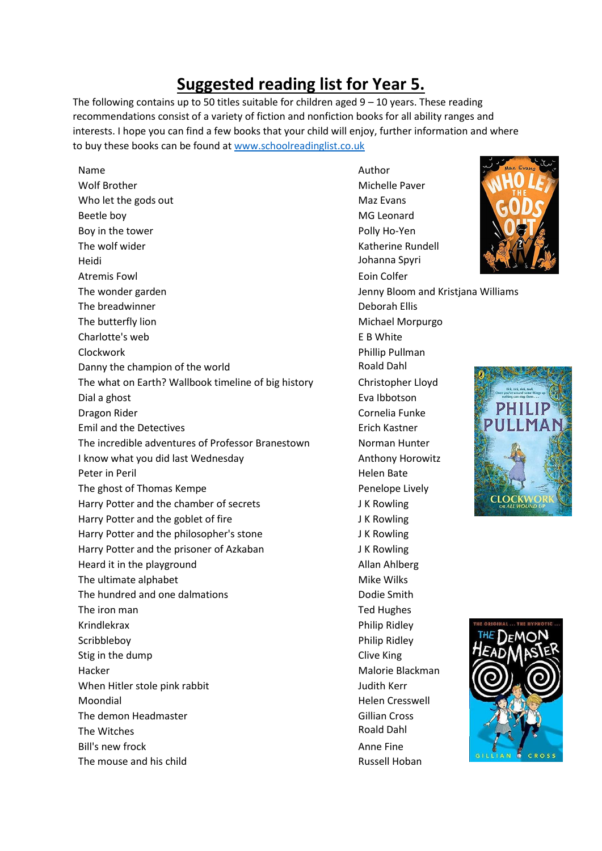## **Suggested reading list for Year 5.**

The following contains up to 50 titles suitable for children aged  $9 - 10$  years. These reading recommendations consist of a variety of fiction and nonfiction books for all ability ranges and interests. I hope you can find a few books that your child will enjoy, further information and where to buy these books can be found a[t www.schoolreadinglist.co.uk](http://www.schoolreadinglist.co.uk/)

Name Author Author Author Author Author Author Author Author Author Author Author Wolf Brother Michelle Paver Who let the gods out Maz Evans Beetle boy **MG** Leonard Boy in the tower **Polly Ho-Yen** The wolf wider National Communication of the Watherine Rundell National Communication of the Watch State of the Watch State of the Watch State of the Watch State of the Watch State of the Watch State of the Watch State of Heidi Johanna Spyri Atremis Fowl **Example 2018** 2019 12:30 Atremis Fowl **Example 2018** The wonder garden **Jenny Bloom and Kristjana Williams** Jenny Bloom and Kristjana Williams The breadwinner and the breadwinner and the Deborah Ellis The butterfly lion and a state of the matter of the Michael Morpurgo Charlotte's web E B White Clockwork Phillip Pullman Danny the champion of the world **Roald Dahl** The what on Earth? Wallbook timeline of big history Christopher Lloyd Dial a ghost **Eva** Ibbotson Dragon Rider **Cornelia Funke** Emil and the Detectives **Example 20** Erich Kastner The incredible adventures of Professor Branestown Norman Hunter I know what you did last Wednesday Manuel Anthony Horowitz Peter in Peril and The Peter in Peril and The Peter in Peril and The Peter in Peril and The Peter in Peter in The ghost of Thomas Kempe **Penelope Lively** Penelope Lively Harry Potter and the chamber of secrets J K Rowling Harry Potter and the goblet of fire **Fig. 12 and 18 and 18 and 18 and 18 and 18 and 18 and 18 and 18 and 18 and 18 and 18 and 18 and 18 and 18 and 18 and 18 and 18 and 18 and 18 and 18 and 18 and 18 and 18 and 18 and 18 an** Harry Potter and the philosopher's stone J K Rowling Harry Potter and the prisoner of Azkaban JK Rowling Heard it in the playground and allan Ahlberg Allan Ahlberg The ultimate alphabet Mike Wilks The hundred and one dalmations The hundred and one dalmations The iron man The iron man Ted Hughes Krindlekrax **Philip Ridley** Scribbleboy **Philip Ridley** Stig in the dump Clive King Hacker Malorie Blackman When Hitler stole pink rabbit Judith Kerr Moondial Moondial Moondial Moondial Moondial Moondial Muscul Cresswell Moondial Muscul Cresswell The demon Headmaster Gillian Cross The Witches **Roald Dahl** Bill's new frock and the set of the Anne Fine The mouse and his child **Russell Hoban** Russell Hoban